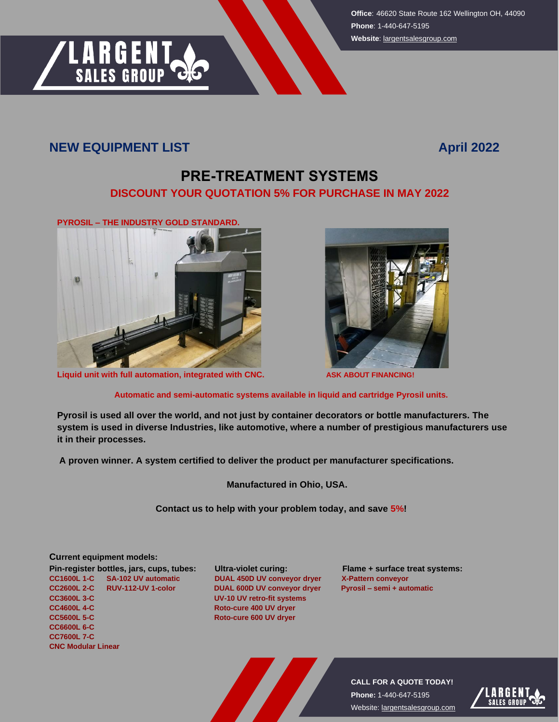**Office**: 46620 State Route 162 Wellington OH, 44090 **Phone**: 1-440-647-5195 **Website**[: largentsalesgroup.com](https://largentsalesgroup.com/)

## **NEW EQUIPMENT LIST April 2022**

**LARGENT**<br>SALES GROUP

## **PRE-TREATMENT SYSTEMS DISCOUNT YOUR QUOTATION 5% FOR PURCHASE IN MAY 2022**



**Liquid unit with full automation, integrated with CNC. ASK ABOUT FINANCING!** 



 **Automatic and semi-automatic systems available in liquid and cartridge Pyrosil units.**

**Pyrosil is used all over the world, and not just by container decorators or bottle manufacturers. The system is used in diverse Industries, like automotive, where a number of prestigious manufacturers use it in their processes.** 

 **A proven winner. A system certified to deliver the product per manufacturer specifications.** 

 **Manufactured in Ohio, USA.** 

 **Contact us to help with your problem today, and save 5%!** 

## **Current equipment models:**

Pin-register bottles, jars, cups, tubes: Ultra-violet curing: Flame + surface treat systems: **CC1600L 1-C SA-102 UV automatic DUAL 450D UV conveyor dryer X-Pattern conveyor CC2600L 2-C RUV-112-UV 1-color DUAL 600D UV conveyor dryer Pyrosil – semi + automatic CC3600L 3-C UV-10 UV retro-fit systems CC4600L 4-C** Roto-cure 400 UV dryer **CC5600L 5-C Roto-cure 600 UV dryer CC6600L 6-C CC7600L 7-C CNC Modular Linear**

**CALL FOR A QUOTE TODAY! Phone:** 1-440-647-5195 Website: [largentsalesgroup.com](https://largentsalesgroup.com/)